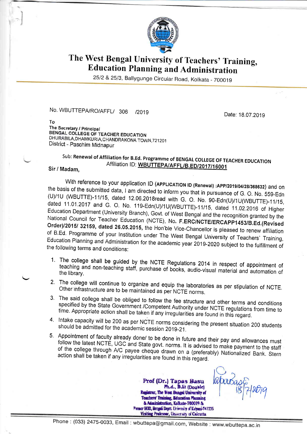

## The West Bengal University of Teachers' Training, Education Planning and Administration

25/2 & 25/3, Ballygunge Circular Road, Kolkata - 700019

No. WBUTTEPA/RO/AFFL/ 306 /2019

Date: 18.07.2019

To The Secretary / Principal BENGAL COLLEGE OF TEACHER EDUCATION DHURABILA,DHAMKURIA,CHANDRAKONA TOWN,72120<br>District - Paschim Midnapur

## sub: Renewal of Affiliation for B.Ed. Programme of BENGAI coLLEGE OF TEACHER EDUCATION Sir / Madam. Affiliation ID: WBUTTEPA/AFFL/B.ED/2017/16001

With reference to your application ID (APPLICATION ID (Renewal) :APP/2019/04/28/368632) and on<br>the basis of the submitted data, I am directed to inform you that in pursuance of G. O. No. 559-Edn<br>(U)/1U (WBUTTE)-11/15, date dated 11.01.2017 and G. O. No. 119-Edn(U)/1U(WBUTTE)-11/15, dated 11.02.2016 of Higher National Council for Teacher Education (NCTE), No. F.ERC/NCTE/ERCAPP1453/B.Ed.(Revised Order)/2015/ 32159, dated 26.05.2015, the Hon'ble Vice-Chancellor is pleased to renew affiliation of B.Ed. Programme of your Institution under The West Bengal University of Teachers' Training, Education Planning and Admini

- 1. The college shall be guided by the NCTE Regulations 2014 in respect of appointment of teaching and non-teaching staff, purchase of books, audio-visual material and automation of the library.
- 2. The college will continue to organize and equip the laboratories as per stipulation of NCTE<br>Other infrastructure are to be maintained as per NCTE norms. Other infrastructure are to be maintained as per NCTE norms.
- 3. The said college shall be obliged to follow the fee structure and other terms and conditions specified by the State Government /Competent Authority under NCTE regulations from time to time. Appropriate action shall be taken if any irregularities are found in this regard.
- should be admitted for the academic session 2019-21. 4. Intake capacity will be 200 as per NCTE norms considering the present situation 200 students
- 5. Appointment of faculty already done/ to be done in future and their pay and allowances must follow the latest NCTE, UGC and State govt. norms. It is advised to make payment to the staff action shall be taken if any irregularities are found in this regard. of the college through A/C payee cheque drawn on a (preferably) Nationalized Bank. Stern

Prof (Dr.) Tapas Basu<br>Ph.d., D.lit (Double)<br>Registrar, The West Bengal University of Teachers' Training, Education Planning<br>& Administration, Kolkata-700019 & Former HOD, Bengali Deptt. University of Kalyani-741235 Visiting Prefesser, University of Calcutta

 $2079$